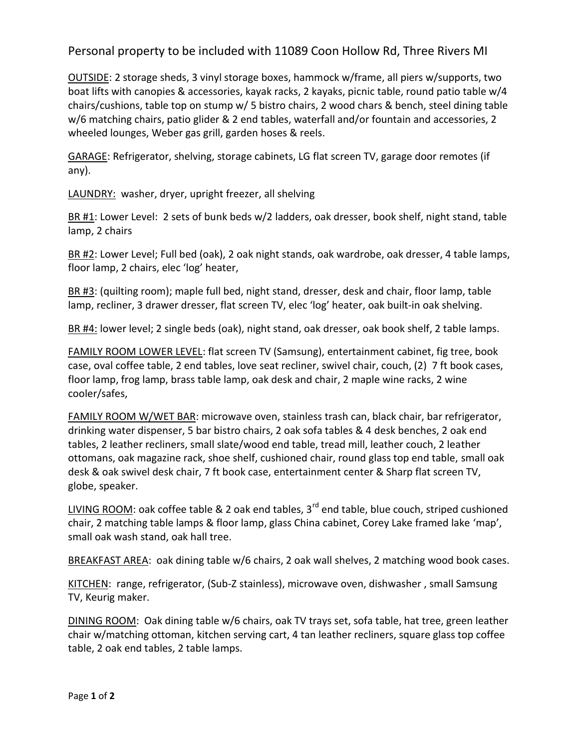Personal property to be included with 11089 Coon Hollow Rd, Three Rivers MI

OUTSIDE: 2 storage sheds, 3 vinyl storage boxes, hammock w/frame, all piers w/supports, two boat lifts with canopies & accessories, kayak racks, 2 kayaks, picnic table, round patio table w/4 chairs/cushions, table top on stump w/ 5 bistro chairs, 2 wood chars & bench, steel dining table w/6 matching chairs, patio glider & 2 end tables, waterfall and/or fountain and accessories, 2 wheeled lounges, Weber gas grill, garden hoses & reels.

GARAGE: Refrigerator, shelving, storage cabinets, LG flat screen TV, garage door remotes (if any).

LAUNDRY: washer, dryer, upright freezer, all shelving

BR  $#1$ : Lower Level: 2 sets of bunk beds w/2 ladders, oak dresser, book shelf, night stand, table lamp, 2 chairs

BR #2: Lower Level; Full bed (oak), 2 oak night stands, oak wardrobe, oak dresser, 4 table lamps, floor lamp, 2 chairs, elec 'log' heater,

BR #3: (quilting room); maple full bed, night stand, dresser, desk and chair, floor lamp, table lamp, recliner, 3 drawer dresser, flat screen TV, elec 'log' heater, oak built-in oak shelving.

BR #4: lower level; 2 single beds (oak), night stand, oak dresser, oak book shelf, 2 table lamps.

FAMILY ROOM LOWER LEVEL: flat screen TV (Samsung), entertainment cabinet, fig tree, book case, oval coffee table, 2 end tables, love seat recliner, swivel chair, couch, (2) 7 ft book cases, floor lamp, frog lamp, brass table lamp, oak desk and chair, 2 maple wine racks, 2 wine cooler/safes,

FAMILY ROOM W/WET BAR: microwave oven, stainless trash can, black chair, bar refrigerator, drinking water dispenser, 5 bar bistro chairs, 2 oak sofa tables & 4 desk benches, 2 oak end tables, 2 leather recliners, small slate/wood end table, tread mill, leather couch, 2 leather ottomans, oak magazine rack, shoe shelf, cushioned chair, round glass top end table, small oak desk & oak swivel desk chair, 7 ft book case, entertainment center & Sharp flat screen TV, globe, speaker.

LIVING ROOM: oak coffee table & 2 oak end tables, 3<sup>rd</sup> end table, blue couch, striped cushioned chair, 2 matching table lamps & floor lamp, glass China cabinet, Corey Lake framed lake 'map', small oak wash stand, oak hall tree.

BREAKFAST AREA: oak dining table w/6 chairs, 2 oak wall shelves, 2 matching wood book cases.

KITCHEN: range, refrigerator, (Sub-Z stainless), microwave oven, dishwasher , small Samsung TV, Keurig maker.

DINING ROOM: Oak dining table w/6 chairs, oak TV trays set, sofa table, hat tree, green leather chair w/matching ottoman, kitchen serving cart, 4 tan leather recliners, square glass top coffee table, 2 oak end tables, 2 table lamps.